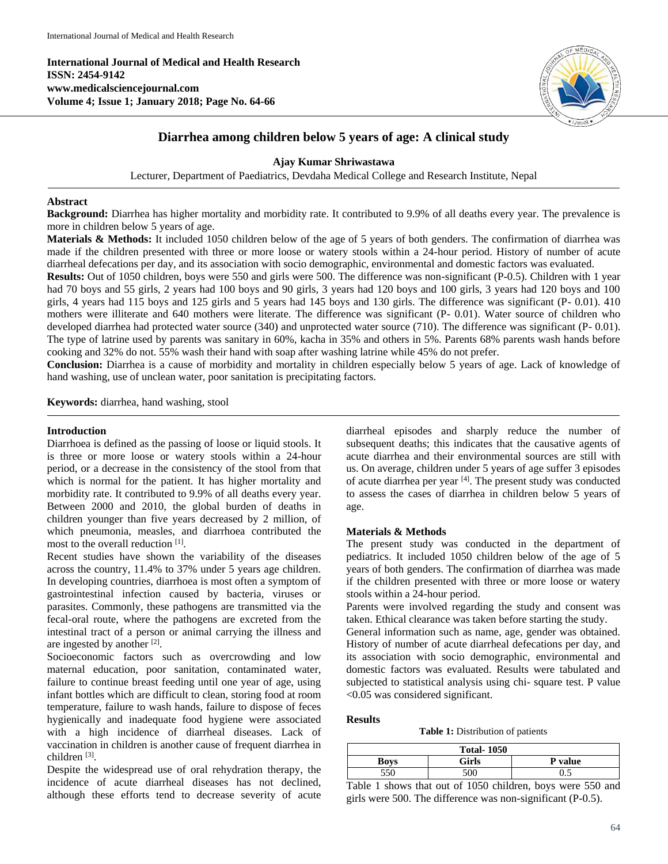**International Journal of Medical and Health Research ISSN: 2454-9142 www.medicalsciencejournal.com Volume 4; Issue 1; January 2018; Page No. 64-66**



# **Diarrhea among children below 5 years of age: A clinical study**

**Ajay Kumar Shriwastawa**

Lecturer, Department of Paediatrics, Devdaha Medical College and Research Institute, Nepal

### **Abstract**

**Background:** Diarrhea has higher mortality and morbidity rate. It contributed to 9.9% of all deaths every year. The prevalence is more in children below 5 years of age.

**Materials & Methods:** It included 1050 children below of the age of 5 years of both genders. The confirmation of diarrhea was made if the children presented with three or more loose or watery stools within a 24-hour period. History of number of acute diarrheal defecations per day, and its association with socio demographic, environmental and domestic factors was evaluated.

**Results:** Out of 1050 children, boys were 550 and girls were 500. The difference was non-significant (P-0.5). Children with 1 year had 70 boys and 55 girls, 2 years had 100 boys and 90 girls, 3 years had 120 boys and 100 girls, 3 years had 120 boys and 100 girls, 4 years had 115 boys and 125 girls and 5 years had 145 boys and 130 girls. The difference was significant (P- 0.01). 410 mothers were illiterate and 640 mothers were literate. The difference was significant (P- 0.01). Water source of children who developed diarrhea had protected water source (340) and unprotected water source (710). The difference was significant (P- 0.01). The type of latrine used by parents was sanitary in 60%, kacha in 35% and others in 5%. Parents 68% parents wash hands before cooking and 32% do not. 55% wash their hand with soap after washing latrine while 45% do not prefer.

**Conclusion:** Diarrhea is a cause of morbidity and mortality in children especially below 5 years of age. Lack of knowledge of hand washing, use of unclean water, poor sanitation is precipitating factors.

**Keywords:** diarrhea, hand washing, stool

#### **Introduction**

Diarrhoea is defined as the passing of loose or liquid stools. It is three or more loose or watery stools within a 24-hour period, or a decrease in the consistency of the stool from that which is normal for the patient. It has higher mortality and morbidity rate. It contributed to 9.9% of all deaths every year. Between 2000 and 2010, the global burden of deaths in children younger than five years decreased by 2 million, of which pneumonia, measles, and diarrhoea contributed the most to the overall reduction [1].

Recent studies have shown the variability of the diseases across the country, 11.4% to 37% under 5 years age children. In developing countries, diarrhoea is most often a symptom of gastrointestinal infection caused by bacteria, viruses or parasites. Commonly, these pathogens are transmitted via the fecal-oral route, where the pathogens are excreted from the intestinal tract of a person or animal carrying the illness and are ingested by another [2].

Socioeconomic factors such as overcrowding and low maternal education, poor sanitation, contaminated water, failure to continue breast feeding until one year of age, using infant bottles which are difficult to clean, storing food at room temperature, failure to wash hands, failure to dispose of feces hygienically and inadequate food hygiene were associated with a high incidence of diarrheal diseases. Lack of vaccination in children is another cause of frequent diarrhea in children<sup>[3]</sup>.

Despite the widespread use of oral rehydration therapy, the incidence of acute diarrheal diseases has not declined, although these efforts tend to decrease severity of acute

diarrheal episodes and sharply reduce the number of subsequent deaths; this indicates that the causative agents of acute diarrhea and their environmental sources are still with us. On average, children under 5 years of age suffer 3 episodes of acute diarrhea per year [4]. The present study was conducted to assess the cases of diarrhea in children below 5 years of age.

# **Materials & Methods**

The present study was conducted in the department of pediatrics. It included 1050 children below of the age of 5 years of both genders. The confirmation of diarrhea was made if the children presented with three or more loose or watery stools within a 24-hour period.

Parents were involved regarding the study and consent was taken. Ethical clearance was taken before starting the study.

General information such as name, age, gender was obtained. History of number of acute diarrheal defecations per day, and its association with socio demographic, environmental and domestic factors was evaluated. Results were tabulated and subjected to statistical analysis using chi- square test. P value <0.05 was considered significant.

#### **Results**

**Table 1:** Distribution of patients

| <b>Total-1050</b> |       |                |  |
|-------------------|-------|----------------|--|
| Boys              | Girls | <b>P</b> value |  |
| 550               | 500   | ∪.J            |  |

Table 1 shows that out of 1050 children, boys were 550 and girls were 500. The difference was non-significant (P-0.5).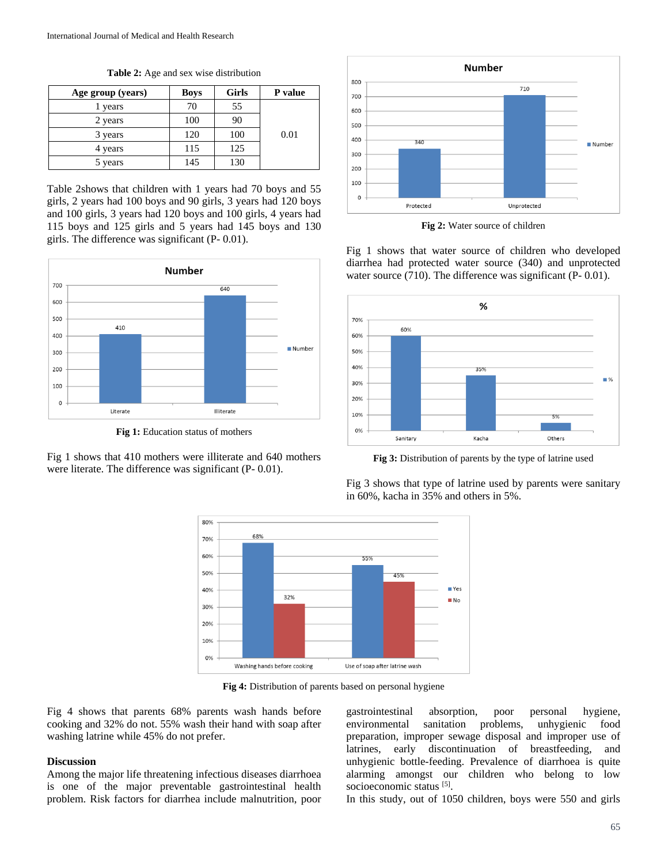**Table 2:** Age and sex wise distribution

| Age group (years) | <b>Boys</b> | Girls | P value |
|-------------------|-------------|-------|---------|
| l years           | 70          | 55    |         |
| 2 years           | 100         | 90    |         |
| 3 years           | 120         | 100   | 0.01    |
| 4 years           | 115         | 125   |         |
| 5 years           | 145         | 130   |         |

Table 2shows that children with 1 years had 70 boys and 55 girls, 2 years had 100 boys and 90 girls, 3 years had 120 boys and 100 girls, 3 years had 120 boys and 100 girls, 4 years had 115 boys and 125 girls and 5 years had 145 boys and 130 girls. The difference was significant (P- 0.01).



**Fig 1:** Education status of mothers

Fig 1 shows that 410 mothers were illiterate and 640 mothers were literate. The difference was significant (P- 0.01).



**Fig 2:** Water source of children

Fig 1 shows that water source of children who developed diarrhea had protected water source (340) and unprotected water source (710). The difference was significant (P- 0.01).



**Fig 3:** Distribution of parents by the type of latrine used

Fig 3 shows that type of latrine used by parents were sanitary in 60%, kacha in 35% and others in 5%.



**Fig 4:** Distribution of parents based on personal hygiene

Fig 4 shows that parents 68% parents wash hands before cooking and 32% do not. 55% wash their hand with soap after washing latrine while 45% do not prefer.

#### **Discussion**

Among the major life threatening infectious diseases diarrhoea is one of the major preventable gastrointestinal health problem. Risk factors for diarrhea include malnutrition, poor

gastrointestinal absorption, poor personal hygiene, environmental sanitation problems, unhygienic food preparation, improper sewage disposal and improper use of latrines, early discontinuation of breastfeeding, and unhygienic bottle-feeding. Prevalence of diarrhoea is quite alarming amongst our children who belong to low socioeconomic status [5].

In this study, out of 1050 children, boys were 550 and girls